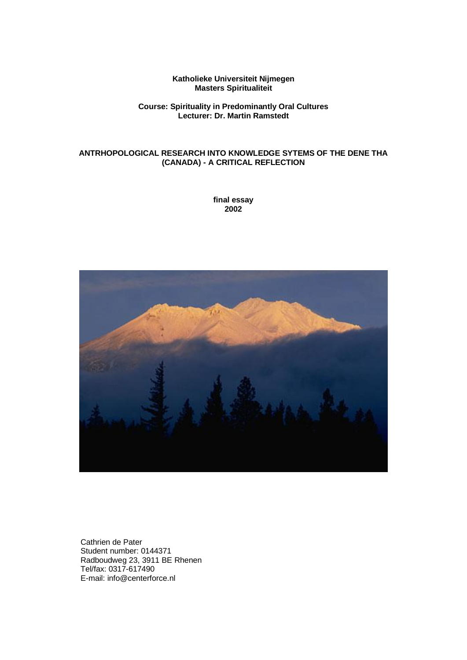#### **Katholieke Universiteit Nijmegen Masters Spiritualiteit**

#### **Course: Spirituality in Predominantly Oral Cultures Lecturer: Dr. Martin Ramstedt**

## **ANTRHOPOLOGICAL RESEARCH INTO KNOWLEDGE SYTEMS OF THE DENE THA (CANADA) - A CRITICAL REFLECTION**

**final essay 2002**



Cathrien de Pater Student number: 0144371 Radboudweg 23, 3911 BE Rhenen Tel/fax: 0317-617490 E-mail: info@centerforce.nl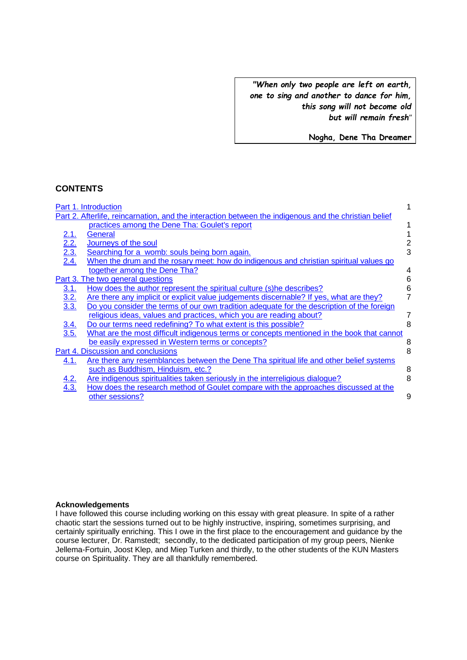*"When only two people are left on earth, one to sing and another to dance for him, this song will not become old but will remain fresh"*

**Nogha, Dene Tha Dreamer**

## **CONTENTS**

|                                        | Part 1. Introduction                                                                                                                                   |   |  |
|----------------------------------------|--------------------------------------------------------------------------------------------------------------------------------------------------------|---|--|
|                                        | Part 2. Afterlife, reincarnation, and the interaction between the indigenous and the christian belief<br>practices among the Dene Tha: Goulet's report |   |  |
|                                        |                                                                                                                                                        |   |  |
|                                        | General                                                                                                                                                |   |  |
|                                        | Journeys of the soul                                                                                                                                   |   |  |
| $\frac{2.1}{2.2}$<br>$\frac{2.3}{2.4}$ | Searching for a womb: souls being born again.                                                                                                          | 3 |  |
|                                        | When the drum and the rosary meet: how do indigenous and christian spiritual values go                                                                 |   |  |
|                                        | together among the Dene Tha?                                                                                                                           | 4 |  |
|                                        | Part 3. The two general questions                                                                                                                      | 6 |  |
| <u>3.1.</u>                            | How does the author represent the spiritual culture (s) he describes?                                                                                  | 6 |  |
| $\frac{3.2}{3.3}$                      | Are there any implicit or explicit value judgements discernable? If yes, what are they?                                                                | 7 |  |
|                                        | Do you consider the terms of our own tradition adequate for the description of the foreign                                                             |   |  |
|                                        | religious ideas, values and practices, which you are reading about?                                                                                    |   |  |
| $\frac{3.4}{3.5}$                      | Do our terms need redefining? To what extent is this possible?                                                                                         | 8 |  |
|                                        | What are the most difficult indigenous terms or concepts mentioned in the book that cannot                                                             |   |  |
|                                        | be easily expressed in Western terms or concepts?                                                                                                      | 8 |  |
|                                        | Part 4. Discussion and conclusions                                                                                                                     | 8 |  |
| 4.1.                                   | Are there any resemblances between the Dene Tha spiritual life and other belief systems                                                                |   |  |
|                                        | such as Buddhism, Hinduism, etc.?                                                                                                                      | 8 |  |
| $\frac{4.2}{4.3}$                      | Are indigenous spiritualities taken seriously in the interreligious dialogue?                                                                          | 8 |  |
|                                        | How does the research method of Goulet compare with the approaches discussed at the                                                                    |   |  |
|                                        | other sessions?                                                                                                                                        | 9 |  |

## **Acknowledgements**

I have followed this course including working on this essay with great pleasure. In spite of a rather chaotic start the sessions turned out to be highly instructive, inspiring, sometimes surprising, and certainly spiritually enriching. This I owe in the first place to the encouragement and guidance by the course lecturer, Dr. Ramstedt; secondly, to the dedicated participation of my group peers, Nienke Jellema-Fortuin, Joost Klep, and Miep Turken and thirdly, to the other students of the KUN Masters course on Spirituality. They are all thankfully remembered.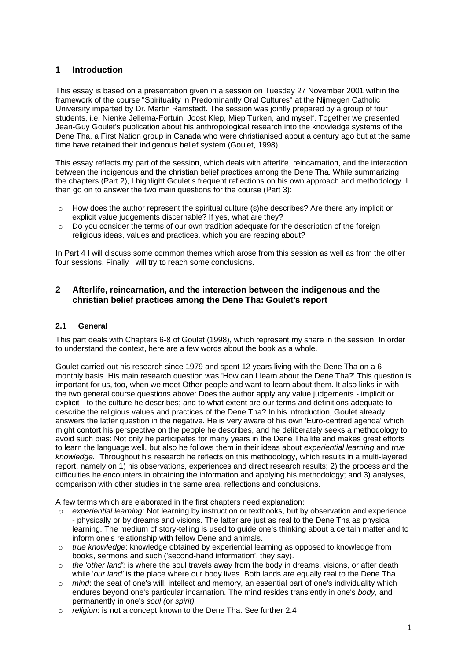## **1 Introduction**

This essay is based on a presentation given in a session on Tuesday 27 November 2001 within the framework of the course "Spirituality in Predominantly Oral Cultures" at the Nijmegen Catholic University imparted by Dr. Martin Ramstedt. The session was jointly prepared by a group of four students, i.e. Nienke Jellema-Fortuin, Joost Klep, Miep Turken, and myself. Together we presented Jean-Guy Goulet's publication about his anthropological research into the knowledge systems of the Dene Tha, a First Nation group in Canada who were christianised about a century ago but at the same time have retained their indigenous belief system (Goulet, 1998).

This essay reflects my part of the session, which deals with afterlife, reincarnation, and the interaction between the indigenous and the christian belief practices among the Dene Tha. While summarizing the chapters (Part 2), I highlight Goulet's frequent reflections on his own approach and methodology. I then go on to answer the two main questions for the course (Part 3):

- $\circ$  How does the author represent the spiritual culture (s) he describes? Are there any implicit or explicit value judgements discernable? If yes, what are they?
- $\circ$  Do you consider the terms of our own tradition adequate for the description of the foreign religious ideas, values and practices, which you are reading about?

In Part 4 I will discuss some common themes which arose from this session as well as from the other four sessions. Finally I will try to reach some conclusions.

## <span id="page-2-0"></span>**2 Afterlife, reincarnation, and the interaction between the indigenous and the christian belief practices among the Dene Tha: Goulet's report**

## **2.1 General**

This part deals with Chapters 6-8 of Goulet (1998), which represent my share in the session. In order to understand the context, here are a few words about the book as a whole.

Goulet carried out his research since 1979 and spent 12 years living with the Dene Tha on a 6 monthly basis. His main research question was 'How can I learn about the Dene Tha?' This question is important for us, too, when we meet Other people and want to learn about them. It also links in with the two general course questions above: Does the author apply any value judgements - implicit or explicit - to the culture he describes; and to what extent are our terms and definitions adequate to describe the religious values and practices of the Dene Tha? In his introduction, Goulet already answers the latter question in the negative. He is very aware of his own 'Euro-centred agenda' which might contort his perspective on the people he describes, and he deliberately seeks a methodology to avoid such bias: Not only he participates for many years in the Dene Tha life and makes great efforts to learn the language well, but also he follows them in their ideas about *experiential learning* and *true knowledge.* Throughout his research he reflects on this methodology, which results in a multi-layered report, namely on 1) his observations, experiences and direct research results; 2) the process and the difficulties he encounters in obtaining the information and applying his methodology; and 3) analyses, comparison with other studies in the same area, reflections and conclusions.

A few terms which are elaborated in the first chapters need explanation:

- *o experiential learning*: Not learning by instruction or textbooks, but by observation and experience - physically or by dreams and visions. The latter are just as real to the Dene Tha as physical learning. The medium of story-telling is used to guide one's thinking about a certain matter and to inform one's relationship with fellow Dene and animals.
- o *true knowledge*: knowledge obtained by experiential learning as opposed to knowledge from books, sermons and such ('second-hand information', they say).
- o *the 'other land':* is where the soul travels away from the body in dreams, visions, or after death while '*our land'* is the place where our body lives. Both lands are equally real to the Dene Tha.
- o *mind*: the seat of one's will, intellect and memory, an essential part of one's individuality which endures beyond one's particular incarnation. The mind resides transiently in one's *body*, and permanently in one's *soul (*or *spirit).*
- o *religion*: is not a concept known to the Dene Tha. See further [2.4](#page-5-0)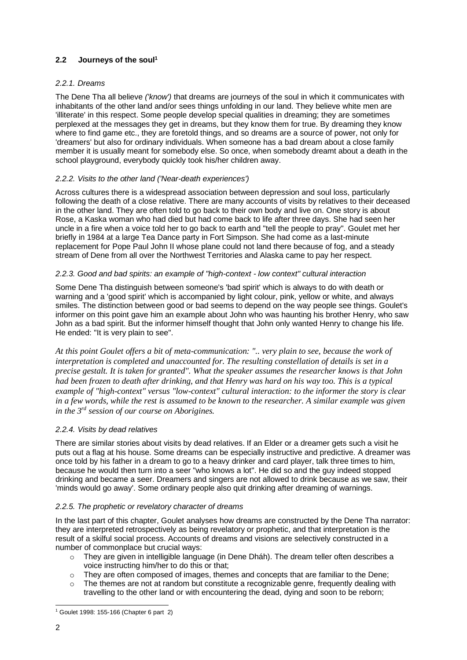## **2.2 Journeys of the soul<sup>1</sup>**

## *2.2.1. Dreams*

The Dene Tha all believe *('know')* that dreams are journeys of the soul in which it communicates with inhabitants of the other land and/or sees things unfolding in our land. They believe white men are 'illiterate' in this respect. Some people develop special qualities in dreaming; they are sometimes perplexed at the messages they get in dreams, but they know them for true. By dreaming they know where to find game etc., they are foretold things, and so dreams are a source of power, not only for 'dreamers' but also for ordinary individuals. When someone has a bad dream about a close family member it is usually meant for somebody else. So once, when somebody dreamt about a death in the school playground, everybody quickly took his/her children away.

## *2.2.2. Visits to the other land ('Near-death experiences')*

Across cultures there is a widespread association between depression and soul loss, particularly following the death of a close relative. There are many accounts of visits by relatives to their deceased in the other land. They are often told to go back to their own body and live on. One story is about Rose, a Kaska woman who had died but had come back to life after three days. She had seen her uncle in a fire when a voice told her to go back to earth and "tell the people to pray". Goulet met her briefly in 1984 at a large Tea Dance party in Fort Simpson. She had come as a last-minute replacement for Pope Paul John II whose plane could not land there because of fog, and a steady stream of Dene from all over the Northwest Territories and Alaska came to pay her respect.

## *2.2.3. Good and bad spirits: an example of "high-context - low context" cultural interaction*

Some Dene Tha distinguish between someone's 'bad spirit' which is always to do with death or warning and a 'good spirit' which is accompanied by light colour, pink, yellow or white, and always smiles. The distinction between good or bad seems to depend on the way people see things. Goulet's informer on this point gave him an example about John who was haunting his brother Henry, who saw John as a bad spirit. But the informer himself thought that John only wanted Henry to change his life. He ended: "It is very plain to see".

*At this point Goulet offers a bit of meta-communication: ".. very plain to see, because the work of interpretation is completed and unaccounted for. The resulting constellation of details is set in a precise gestalt. It is taken for granted". What the speaker assumes the researcher knows is that John had been frozen to death after drinking, and that Henry was hard on his way too. This is a typical example of "high-context" versus "low-context" cultural interaction: to the informer the story is clear in a few words, while the rest is assumed to be known to the researcher. A similar example was given in the 3rd session of our course on Aborigines.*

## *2.2.4. Visits by dead relatives*

There are similar stories about visits by dead relatives. If an Elder or a dreamer gets such a visit he puts out a flag at his house. Some dreams can be especially instructive and predictive. A dreamer was once told by his father in a dream to go to a heavy drinker and card player, talk three times to him, because he would then turn into a seer "who knows a lot". He did so and the guy indeed stopped drinking and became a seer. Dreamers and singers are not allowed to drink because as we saw, their 'minds would go away'. Some ordinary people also quit drinking after dreaming of warnings.

## *2.2.5. The prophetic or revelatory character of dreams*

In the last part of this chapter, Goulet analyses how dreams are constructed by the Dene Tha narrator: they are interpreted retrospectively as being revelatory or prophetic, and that interpretation is the result of a skilful social process. Accounts of dreams and visions are selectively constructed in a number of commonplace but crucial ways:

- $\circ$  They are given in intelligible language (in Dene Dháh). The dream teller often describes a voice instructing him/her to do this or that;
- $\circ$  They are often composed of images, themes and concepts that are familiar to the Dene;
- $\circ$  The themes are not at random but constitute a recognizable genre, frequently dealing with travelling to the other land or with encountering the dead, dying and soon to be reborn;

<sup>1</sup> Goulet 1998: 155-166 (Chapter 6 part 2)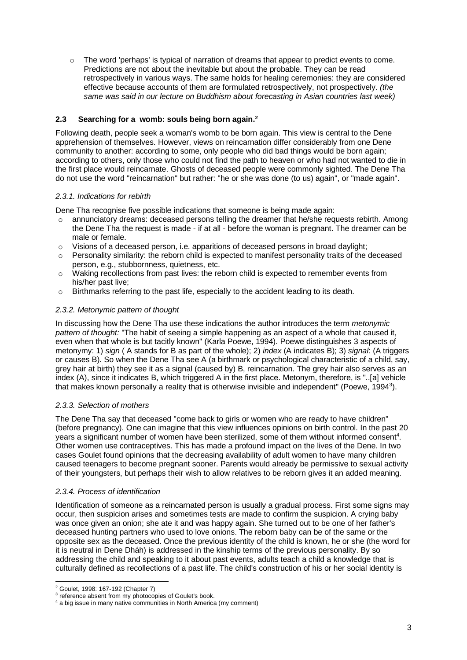$\circ$  The word 'perhaps' is typical of narration of dreams that appear to predict events to come. Predictions are not about the inevitable but about the probable. They can be read retrospectively in various ways. The same holds for healing ceremonies: they are considered effective because accounts of them are formulated retrospectively, not prospectively. *(the same was said in our lecture on Buddhism about forecasting in Asian countries last week)*

## **2.3 Searching for a womb: souls being born again.<sup>2</sup>**

Following death, people seek a woman's womb to be born again. This view is central to the Dene apprehension of themselves. However, views on reincarnation differ considerably from one Dene community to another: according to some, only people who did bad things would be born again; according to others, only those who could not find the path to heaven or who had not wanted to die in the first place would reincarnate. Ghosts of deceased people were commonly sighted. The Dene Tha do not use the word "reincarnation" but rather: "he or she was done (to us) again", or "made again".

## *2.3.1. Indications for rebirth*

Dene Tha recognise five possible indications that someone is being made again:

- $\circ$  annunciatory dreams: deceased persons telling the dreamer that he/she requests rebirth. Among the Dene Tha the request is made - if at all - before the woman is pregnant. The dreamer can be male or female.
- $\circ$  Visions of a deceased person, i.e. apparitions of deceased persons in broad daylight;
- $\circ$  Personality similarity: the reborn child is expected to manifest personality traits of the deceased person, e.g., stubbornness, quietness, etc.
- $\circ$  Waking recollections from past lives: the reborn child is expected to remember events from his/her past live;
- o Birthmarks referring to the past life, especially to the accident leading to its death.

## *2.3.2. Metonymic pattern of thought*

In discussing how the Dene Tha use these indications the author introduces the term *metonymic pattern of thought:* "The habit of seeing a simple happening as an aspect of a whole that caused it, even when that whole is but tacitly known" (Karla Poewe, 1994). Poewe distinguishes 3 aspects of metonymy: 1) *sign* ( A stands for B as part of the whole); 2) *index* (A indicates B); 3) *signal*: (A triggers or causes B). So when the Dene Tha see A (a birthmark or psychological characteristic of a child, say, grey hair at birth) they see it as a signal (caused by) B, reincarnation. The grey hair also serves as an index (A), since it indicates B, which triggered A in the first place. Metonym, therefore, is "..[a] vehicle that makes known personally a reality that is otherwise invisible and independent" (Poewe, 1994<sup>3</sup>).

## *2.3.3. Selection of mothers*

The Dene Tha say that deceased "come back to girls or women who are ready to have children" (before pregnancy). One can imagine that this view influences opinions on birth control. In the past 20 years a significant number of women have been sterilized, some of them without informed consent<sup>4</sup>. Other women use contraceptives. This has made a profound impact on the lives of the Dene. In two cases Goulet found opinions that the decreasing availability of adult women to have many children caused teenagers to become pregnant sooner. Parents would already be permissive to sexual activity of their youngsters, but perhaps their wish to allow relatives to be reborn gives it an added meaning.

#### *2.3.4. Process of identification*

Identification of someone as a reincarnated person is usually a gradual process. First some signs may occur, then suspicion arises and sometimes tests are made to confirm the suspicion. A crying baby was once given an onion; she ate it and was happy again. She turned out to be one of her father's deceased hunting partners who used to love onions. The reborn baby can be of the same or the opposite sex as the deceased. Once the previous identity of the child is known, he or she (the word for it is neutral in Dene Dháh) is addressed in the kinship terms of the previous personality. By so addressing the child and speaking to it about past events, adults teach a child a knowledge that is culturally defined as recollections of a past life. The child's construction of his or her social identity is

<sup>2</sup> Goulet, 1998: 167-192 (Chapter 7)

<sup>&</sup>lt;sup>3</sup> reference absent from my photocopies of Goulet's book.

<sup>4</sup> a big issue in many native communities in North America (my comment)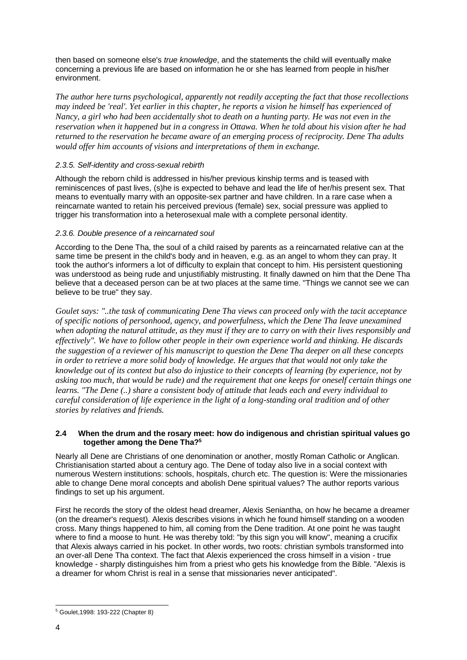then based on someone else's *true knowledge*, and the statements the child will eventually make concerning a previous life are based on information he or she has learned from people in his/her environment.

*The author here turns psychological, apparently not readily accepting the fact that those recollections may indeed be 'real'. Yet earlier in this chapter, he reports a vision he himself has experienced of Nancy, a girl who had been accidentally shot to death on a hunting party. He was not even in the reservation when it happened but in a congress in Ottawa. When he told about his vision after he had returned to the reservation he became aware of an emerging process of reciprocity. Dene Tha adults would offer him accounts of visions and interpretations of them in exchange.*

## *2.3.5. Self-identity and cross-sexual rebirth*

Although the reborn child is addressed in his/her previous kinship terms and is teased with reminiscences of past lives, (s)he is expected to behave and lead the life of her/his present sex. That means to eventually marry with an opposite-sex partner and have children. In a rare case when a reincarnate wanted to retain his perceived previous (female) sex, social pressure was applied to trigger his transformation into a heterosexual male with a complete personal identity.

## *2.3.6. Double presence of a reincarnated soul*

According to the Dene Tha, the soul of a child raised by parents as a reincarnated relative can at the same time be present in the child's body and in heaven, e.g. as an angel to whom they can pray. It took the author's informers a lot of difficulty to explain that concept to him. His persistent questioning was understood as being rude and unjustifiably mistrusting. It finally dawned on him that the Dene Tha believe that a deceased person can be at two places at the same time. "Things we cannot see we can believe to be true" they say.

*Goulet says: "..the task of communicating Dene Tha views can proceed only with the tacit acceptance of specific notions of personhood, agency, and powerfulness, which the Dene Tha leave unexamined when adopting the natural attitude, as they must if they are to carry on with their lives responsibly and effectively". We have to follow other people in their own experience world and thinking. He discards the suggestion of a reviewer of his manuscript to question the Dene Tha deeper on all these concepts in order to retrieve a more solid body of knowledge. He argues that that would not only take the knowledge out of its context but also do injustice to their concepts of learning (by experience, not by asking too much, that would be rude) and the requirement that one keeps for oneself certain things one learns. "The Dene (..) share a consistent body of attitude that leads each and every individual to careful consideration of life experience in the light of a long-standing oral tradition and of other stories by relatives and friends.*

## <span id="page-5-0"></span>**2.4 When the drum and the rosary meet: how do indigenous and christian spiritual values go together among the Dene Tha?<sup>5</sup>**

Nearly all Dene are Christians of one denomination or another, mostly Roman Catholic or Anglican. Christianisation started about a century ago. The Dene of today also live in a social context with numerous Western institutions: schools, hospitals, church etc. The question is: Were the missionaries able to change Dene moral concepts and abolish Dene spiritual values? The author reports various findings to set up his argument.

First he records the story of the oldest head dreamer, Alexis Seniantha, on how he became a dreamer (on the dreamer's request). Alexis describes visions in which he found himself standing on a wooden cross. Many things happened to him, all coming from the Dene tradition. At one point he was taught where to find a moose to hunt. He was thereby told: "by this sign you will know", meaning a crucifix that Alexis always carried in his pocket. In other words, two roots: christian symbols transformed into an over-all Dene Tha context. The fact that Alexis experienced the cross himself in a vision - true knowledge - sharply distinguishes him from a priest who gets his knowledge from the Bible. "Alexis is a dreamer for whom Christ is real in a sense that missionaries never anticipated".

<sup>5</sup> Goulet,1998: 193-222 (Chapter 8)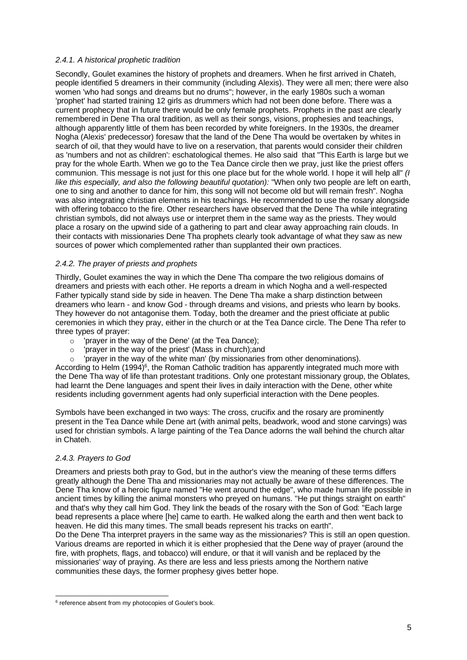#### *2.4.1. A historical prophetic tradition*

Secondly, Goulet examines the history of prophets and dreamers. When he first arrived in Chateh, people identified 5 dreamers in their community (including Alexis). They were all men; there were also women 'who had songs and dreams but no drums"; however, in the early 1980s such a woman 'prophet' had started training 12 girls as drummers which had not been done before. There was a current prophecy that in future there would be only female prophets. Prophets in the past are clearly remembered in Dene Tha oral tradition, as well as their songs, visions, prophesies and teachings, although apparently little of them has been recorded by white foreigners. In the 1930s, the dreamer Nogha (Alexis' predecessor) foresaw that the land of the Dene Tha would be overtaken by whites in search of oil, that they would have to live on a reservation, that parents would consider their children as 'numbers and not as children': eschatological themes. He also said that "This Earth is large but we pray for the whole Earth. When we go to the Tea Dance circle then we pray, just like the priest offers communion. This message is not just for this one place but for the whole world. I hope it will help all" *(I like this especially, and also the following beautiful quotation):* "When only two people are left on earth, one to sing and another to dance for him, this song will not become old but will remain fresh". Nogha was also integrating christian elements in his teachings. He recommended to use the rosary alongside with offering tobacco to the fire. Other researchers have observed that the Dene Tha while integrating christian symbols, did not always use or interpret them in the same way as the priests. They would place a rosary on the upwind side of a gathering to part and clear away approaching rain clouds. In their contacts with missionaries Dene Tha prophets clearly took advantage of what they saw as new sources of power which complemented rather than supplanted their own practices.

## *2.4.2. The prayer of priests and prophets*

Thirdly, Goulet examines the way in which the Dene Tha compare the two religious domains of dreamers and priests with each other. He reports a dream in which Nogha and a well-respected Father typically stand side by side in heaven. The Dene Tha make a sharp distinction between dreamers who learn - and know God - through dreams and visions, and priests who learn by books. They however do not antagonise them. Today, both the dreamer and the priest officiate at public ceremonies in which they pray, either in the church or at the Tea Dance circle. The Dene Tha refer to three types of prayer:

- o 'prayer in the way of the Dene' (at the Tea Dance);
- o 'prayer in the way of the priest' (Mass in church);and
- $\circ$  'prayer in the way of the white man' (by missionaries from other denominations).

According to Helm (1994)<sup>6</sup>, the Roman Catholic tradition has apparently integrated much more with the Dene Tha way of life than protestant traditions. Only one protestant missionary group, the Oblates, had learnt the Dene languages and spent their lives in daily interaction with the Dene, other white residents including government agents had only superficial interaction with the Dene peoples.

Symbols have been exchanged in two ways: The cross, crucifix and the rosary are prominently present in the Tea Dance while Dene art (with animal pelts, beadwork, wood and stone carvings) was used for christian symbols. A large painting of the Tea Dance adorns the wall behind the church altar in Chateh.

## *2.4.3. Prayers to God*

Dreamers and priests both pray to God, but in the author's view the meaning of these terms differs greatly although the Dene Tha and missionaries may not actually be aware of these differences. The Dene Tha know of a heroic figure named "He went around the edge", who made human life possible in ancient times by killing the animal monsters who preyed on humans. "He put things straight on earth" and that's why they call him God. They link the beads of the rosary with the Son of God: "Each large bead represents a place where [he] came to earth. He walked along the earth and then went back to heaven. He did this many times. The small beads represent his tracks on earth".

Do the Dene Tha interpret prayers in the same way as the missionaries? This is still an open question. Various dreams are reported in which it is either prophesied that the Dene way of prayer (around the fire, with prophets, flags, and tobacco) will endure, or that it will vanish and be replaced by the missionaries' way of praying. As there are less and less priests among the Northern native communities these days, the former prophesy gives better hope.

<sup>&</sup>lt;sup>6</sup> reference absent from my photocopies of Goulet's book.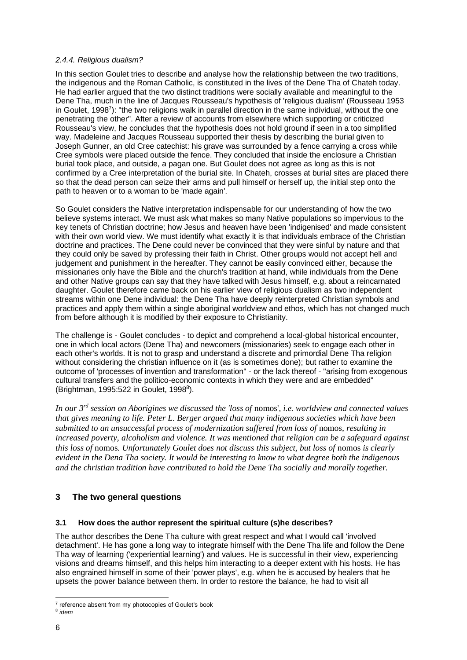#### *2.4.4. Religious dualism?*

In this section Goulet tries to describe and analyse how the relationship between the two traditions, the indigenous and the Roman Catholic, is constituted in the lives of the Dene Tha of Chateh today. He had earlier argued that the two distinct traditions were socially available and meaningful to the Dene Tha, much in the line of Jacques Rousseau's hypothesis of 'religious dualism' (Rousseau 1953 in Goulet, 1998<sup>7</sup>): "the two religions walk in parallel direction in the same individual, without the one penetrating the other". After a review of accounts from elsewhere which supporting or criticized Rousseau's view, he concludes that the hypothesis does not hold ground if seen in a too simplified way. Madeleine and Jacques Rousseau supported their thesis by describing the burial given to Joseph Gunner, an old Cree catechist: his grave was surrounded by a fence carrying a cross while Cree symbols were placed outside the fence. They concluded that inside the enclosure a Christian burial took place, and outside, a pagan one. But Goulet does not agree as long as this is not confirmed by a Cree interpretation of the burial site. In Chateh, crosses at burial sites are placed there so that the dead person can seize their arms and pull himself or herself up, the initial step onto the path to heaven or to a woman to be 'made again'.

So Goulet considers the Native interpretation indispensable for our understanding of how the two believe systems interact. We must ask what makes so many Native populations so impervious to the key tenets of Christian doctrine; how Jesus and heaven have been 'indigenised' and made consistent with their own world view. We must identify what exactly it is that individuals embrace of the Christian doctrine and practices. The Dene could never be convinced that they were sinful by nature and that they could only be saved by professing their faith in Christ. Other groups would not accept hell and judgement and punishment in the hereafter. They cannot be easily convinced either, because the missionaries only have the Bible and the church's tradition at hand, while individuals from the Dene and other Native groups can say that they have talked with Jesus himself, e.g. about a reincarnated daughter. Goulet therefore came back on his earlier view of religious dualism as two independent streams within one Dene individual: the Dene Tha have deeply reinterpreted Christian symbols and practices and apply them within a single aboriginal worldview and ethos, which has not changed much from before although it is modified by their exposure to Christianity.

The challenge is - Goulet concludes - to depict and comprehend a local-global historical encounter, one in which local actors (Dene Tha) and newcomers (missionaries) seek to engage each other in each other's worlds. It is not to grasp and understand a discrete and primordial Dene Tha religion without considering the christian influence on it (as is sometimes done); but rather to examine the outcome of 'processes of invention and transformation" - or the lack thereof - "arising from exogenous cultural transfers and the politico-economic contexts in which they were and are embedded" (Brightman, 1995:522 in Goulet, 1998<sup>8</sup>).

*In our 3rd session on Aborigines we discussed the 'loss of* nomos'*, i.e. worldview and connected values that gives meaning to life. Peter L. Berger argued that many indigenous societies which have been submitted to an unsuccessful process of modernization suffered from loss of nomos, resulting in increased poverty, alcoholism and violence. It was mentioned that religion can be a safeguard against this loss of nomos. Unfortunately Goulet does not discuss this subject, but loss of nomos is clearly evident in the Dena Tha society. It would be interesting to know to what degree both the indigenous and the christian tradition have contributed to hold the Dene Tha socially and morally together.*

## <span id="page-7-0"></span>**3 The two general questions**

## **3.1 How does the author represent the spiritual culture (s)he describes?**

The author describes the Dene Tha culture with great respect and what I would call 'involved detachment'. He has gone a long way to integrate himself with the Dene Tha life and follow the Dene Tha way of learning ('experiential learning') and values. He is successful in their view, experiencing visions and dreams himself, and this helps him interacting to a deeper extent with his hosts. He has also engrained himself in some of their 'power plays', e.g. when he is accused by healers that he upsets the power balance between them. In order to restore the balance, he had to visit all

<sup>&</sup>lt;sup>7</sup> reference absent from my photocopies of Goulet's book

<sup>8</sup> *idem*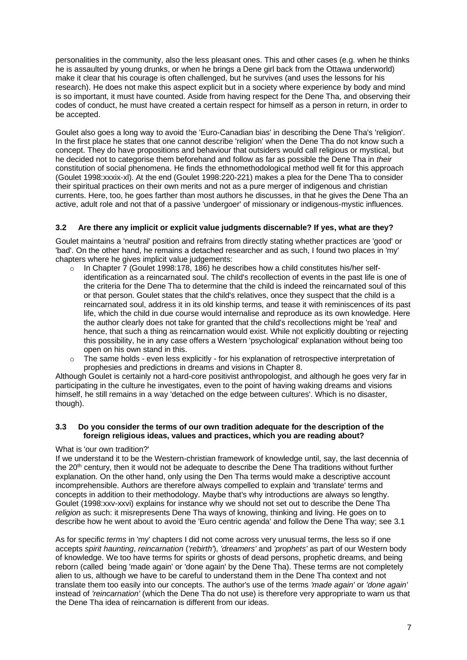personalities in the community, also the less pleasant ones. This and other cases (e.g. when he thinks he is assaulted by young drunks, or when he brings a Dene girl back from the Ottawa underworld) make it clear that his courage is often challenged, but he survives (and uses the lessons for his research). He does not make this aspect explicit but in a society where experience by body and mind is so important, it must have counted. Aside from having respect for the Dene Tha, and observing their codes of conduct, he must have created a certain respect for himself as a person in return, in order to be accepted.

Goulet also goes a long way to avoid the 'Euro-Canadian bias' in describing the Dene Tha's 'religion'. In the first place he states that one cannot describe 'religion' when the Dene Tha do not know such a concept. They do have propositions and behaviour that outsiders would call religious or mystical, but he decided not to categorise them beforehand and follow as far as possible the Dene Tha in *their* constitution of social phenomena. He finds the ethnomethodological method well fit for this approach (Goulet 1998:xxxix-xl). At the end (Goulet 1998:220-221) makes a plea for the Dene Tha to consider their spiritual practices on their own merits and not as a pure merger of indigenous and christian currents. Here, too, he goes farther than most authors he discusses, in that he gives the Dene Tha an active, adult role and not that of a passive 'undergoer' of missionary or indigenous-mystic influences.

## **3.2 Are there any implicit or explicit value judgments discernable? If yes, what are they?**

Goulet maintains a 'neutral' position and refrains from directly stating whether practices are 'good' or 'bad'. On the other hand, he remains a detached researcher and as such, I found two places in 'my' chapters where he gives implicit value judgements:

- $\circ$  In Chapter 7 (Goulet 1998:178, 186) he describes how a child constitutes his/her selfidentification as a reincarnated soul. The child's recollection of events in the past life is one of the criteria for the Dene Tha to determine that the child is indeed the reincarnated soul of this or that person. Goulet states that the child's relatives, once they suspect that the child is a reincarnated soul, address it in its old kinship terms, and tease it with reminiscences of its past life, which the child in due course would internalise and reproduce as its own knowledge. Here the author clearly does not take for granted that the child's recollections might be 'real' and hence, that such a thing as reincarnation would exist. While not explicitly doubting or rejecting this possibility, he in any case offers a Western 'psychological' explanation without being too open on his own stand in this.
- $\circ$  The same holds even less explicitly for his explanation of retrospective interpretation of prophesies and predictions in dreams and visions in Chapter 8.

Although Goulet is certainly not a hard-core positivist anthropologist, and although he goes very far in participating in the culture he investigates, even to the point of having waking dreams and visions himself, he still remains in a way 'detached on the edge between cultures'. Which is no disaster, though).

#### **3.3 Do you consider the terms of our own tradition adequate for the description of the foreign religious ideas, values and practices, which you are reading about?**

## What is 'our own tradition?'

If we understand it to be the Western-christian framework of knowledge until, say, the last decennia of the 20<sup>th</sup> century, then it would not be adequate to describe the Dene Tha traditions without further explanation. On the other hand, only using the Den Tha terms would make a descriptive account incomprehensible. Authors are therefore always compelled to explain and 'translate' terms and concepts in addition to their methodology. Maybe that's why introductions are always so lengthy. Goulet (1998:xxv-xxvi) explains for instance why we should not set out to describe the Dene Tha *religion* as such: it misrepresents Dene Tha ways of knowing, thinking and living. He goes on to describe how he went about to avoid the 'Euro centric agenda' and follow the Dene Tha way; see [3.1](#page-7-0)

As for specific *terms* in 'my' chapters I did not come across very unusual terms, the less so if one accepts *spirit haunting*, *reincarnation* (*'rebirth'*), *'dreamers'* and *'prophets'* as part of our Western body of knowledge. We too have terms for spirits or ghosts of dead persons, prophetic dreams, and being reborn (called being 'made again' or 'done again' by the Dene Tha). These terms are not completely alien to us, although we have to be careful to understand them in the Dene Tha context and not translate them too easily into our concepts. The author's use of the terms *'made again'* or *'done again'* instead of *'reincarnation'* (which the Dene Tha do not use) is therefore very appropriate to warn us that the Dene Tha idea of reincarnation is different from our ideas.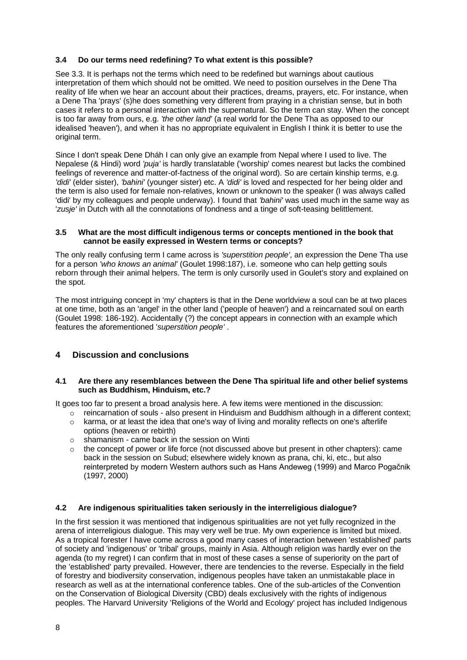## **3.4 Do our terms need redefining? To what extent is this possible?**

See 3.3. It is perhaps not the terms which need to be redefined but warnings about cautious interpretation of them which should not be omitted. We need to position ourselves in the Dene Tha reality of life when we hear an account about their practices, dreams, prayers, etc. For instance, when a Dene Tha 'prays' (s)he does something very different from praying in a christian sense, but in both cases it refers to a personal interaction with the supernatural. So the term can stay. When the concept is too far away from ours, e.g. *'the other land'* (a real world for the Dene Tha as opposed to our idealised 'heaven'), and when it has no appropriate equivalent in English I think it is better to use the original term.

Since I don't speak Dene Dháh I can only give an example from Nepal where I used to live. The Nepalese (& Hindi) word *'puja'* is hardly translatable ('worship' comes nearest but lacks the combined feelings of reverence and matter-of-factness of the original word). So are certain kinship terms, e.g. *'didi'* (elder sister), *'bahini'* (younger sister) etc. A *'didi'* is loved and respected for her being older and the term is also used for female non-relatives, known or unknown to the speaker (I was always called 'didi' by my colleagues and people underway). I found that *'bahini'* was used much in the same way as '*zusje'* in Dutch with all the connotations of fondness and a tinge of soft-teasing belittlement.

#### **3.5 What are the most difficult indigenous terms or concepts mentioned in the book that cannot be easily expressed in Western terms or concepts?**

The only really confusing term I came across is *'superstition people'*, an expression the Dene Tha use for a person *'who knows an animal'* (Goulet 1998:187), i.e. someone who can help getting souls reborn through their animal helpers. The term is only cursorily used in Goulet's story and explained on the spot.

The most intriguing concept in 'my' chapters is that in the Dene worldview a soul can be at two places at one time, both as an 'angel' in the other land ('people of heaven') and a reincarnated soul on earth (Goulet 1998: 186-192). Accidentally (?) the concept appears in connection with an example which features the aforementioned '*superstition people'* .

# **4 Discussion and conclusions**

#### **4.1 Are there any resemblances between the Dene Tha spiritual life and other belief systems such as Buddhism, Hinduism, etc.?**

It goes too far to present a broad analysis here. A few items were mentioned in the discussion:

- $\circ$  reincarnation of souls also present in Hinduism and Buddhism although in a different context;
- $\circ$  karma, or at least the idea that one's way of living and morality reflects on one's afterlife options (heaven or rebirth)
- o shamanism came back in the session on Winti
- $\circ$  the concept of power or life force (not discussed above but present in other chapters): came back in the session on Subud; elsewhere widely known as prana, chi, ki, etc., but also reinterpreted by modern Western authors such as Hans Andeweg (1999) and Marco Pogačnik (1997, 2000)

## **4.2 Are indigenous spiritualities taken seriously in the interreligious dialogue?**

In the first session it was mentioned that indigenous spiritualities are not yet fully recognized in the arena of interreligious dialogue. This may very well be true. My own experience is limited but mixed. As a tropical forester I have come across a good many cases of interaction between 'established' parts of society and 'indigenous' or 'tribal' groups, mainly in Asia. Although religion was hardly ever on the agenda (to my regret) I can confirm that in most of these cases a sense of superiority on the part of the 'established' party prevailed. However, there are tendencies to the reverse. Especially in the field of forestry and biodiversity conservation, indigenous peoples have taken an unmistakable place in research as well as at the international conference tables. One of the sub-articles of the Convention on the Conservation of Biological Diversity (CBD) deals exclusively with the rights of indigenous peoples. The Harvard University 'Religions of the World and Ecology' project has included Indigenous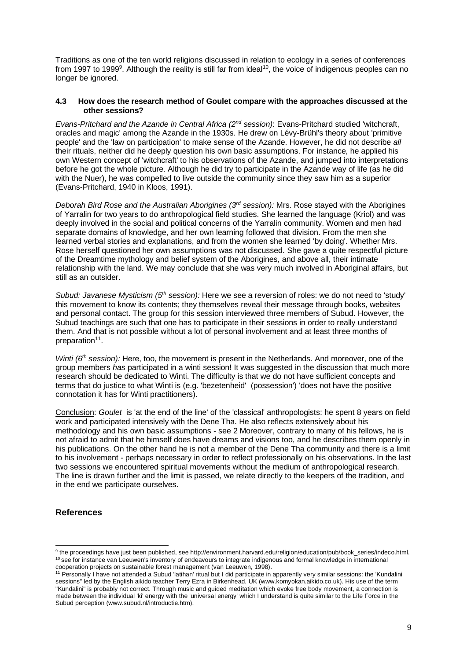Traditions as one of the ten world religions discussed in relation to ecology in a series of conferences from 1997 to 1999<sup>9</sup>. Although the reality is still far from ideal<sup>10</sup>, the voice of indigenous peoples can no longer be ignored.

#### **4.3 How does the research method of Goulet compare with the approaches discussed at the other sessions?**

*Evans-Pritchard and the Azande in Central Africa (2nd session)*: Evans-Pritchard studied 'witchcraft, oracles and magic' among the Azande in the 1930s. He drew on Lévy-Brühl's theory about 'primitive people' and the 'law on participation' to make sense of the Azande. However, he did not describe *all* their rituals, neither did he deeply question his own basic assumptions. For instance, he applied his own Western concept of 'witchcraft' to his observations of the Azande, and jumped into interpretations before he got the whole picture. Although he did try to participate in the Azande way of life (as he did with the Nuer), he was compelled to live outside the community since they saw him as a superior (Evans-Pritchard, 1940 in Kloos, 1991).

*Deborah Bird Rose and the Australian Aborigines (3rd session):* Mrs. Rose stayed with the Aborigines of Yarralin for two years to do anthropological field studies. She learned the language (Kriol) and was deeply involved in the social and political concerns of the Yarralin community. Women and men had separate domains of knowledge, and her own learning followed that division. From the men she learned verbal stories and explanations, and from the women she learned 'by doing'. Whether Mrs. Rose herself questioned her own assumptions was not discussed. She gave a quite respectful picture of the Dreamtime mythology and belief system of the Aborigines, and above all, their intimate relationship with the land. We may conclude that she was very much involved in Aboriginal affairs, but still as an outsider.

*Subud: Javanese Mysticism (5th session):* Here we see a reversion of roles: we do not need to 'study' this movement to know its contents; they themselves reveal their message through books, websites and personal contact. The group for this session interviewed three members of Subud. However, the Subud teachings are such that one has to participate in their sessions in order to really understand them. And that is not possible without a lot of personal involvement and at least three months of preparation<sup>11</sup>.

*Winti (6<sup>th</sup> session):* Here, too, the movement is present in the Netherlands. And moreover, one of the group members *has* participated in a winti session! It was suggested in the discussion that much more research should be dedicated to Winti. The difficulty is that we do not have sufficient concepts and terms that do justice to what Winti is (e.g. 'bezetenheid' (possession') 'does not have the positive connotation it has for Winti practitioners).

Conclusion: *Goulet* is 'at the end of the line' of the 'classical' anthropologists: he spent 8 years on field work and participated intensively with the Dene Tha. He also reflects extensively about his methodology and his own basic assumptions - see [2](#page-2-0) Moreover, contrary to many of his fellows, he is not afraid to admit that he himself does have dreams and visions too, and he describes them openly in his publications. On the other hand he is not a member of the Dene Tha community and there is a limit to his involvement - perhaps necessary in order to reflect professionally on his observations. In the last two sessions we encountered spiritual movements without the medium of anthropological research. The line is drawn further and the limit is passed, we relate directly to the keepers of the tradition, and in the end we participate ourselves.

## **References**

<sup>9</sup> the proceedings have just been published, see http://environment.harvard.edu/religion/education/pub/book\_series/indeco.html. <sup>10</sup> see for instance van Leeuwen's inventory of endeavours to integrate indigenous and formal knowledge in international cooperation projects on sustainable forest management (van Leeuwen, 1998).

<sup>&</sup>lt;sup>11</sup> Personally I have not attended a Subud 'latihan' ritual but I did participate in apparently very similar sessions: the 'Kundalini sessions" led by the English aikido teacher Terry Ezra in Birkenhead, UK (www.komyokan.aikido.co.uk). His use of the term "Kundalini" is probably not correct. Through music and guided meditation which evoke free body movement, a connection is made between the individual 'ki' energy with the 'universal energy' which I understand is quite similar to the Life Force in the Subud perception (www.subud.nl/introductie.htm).